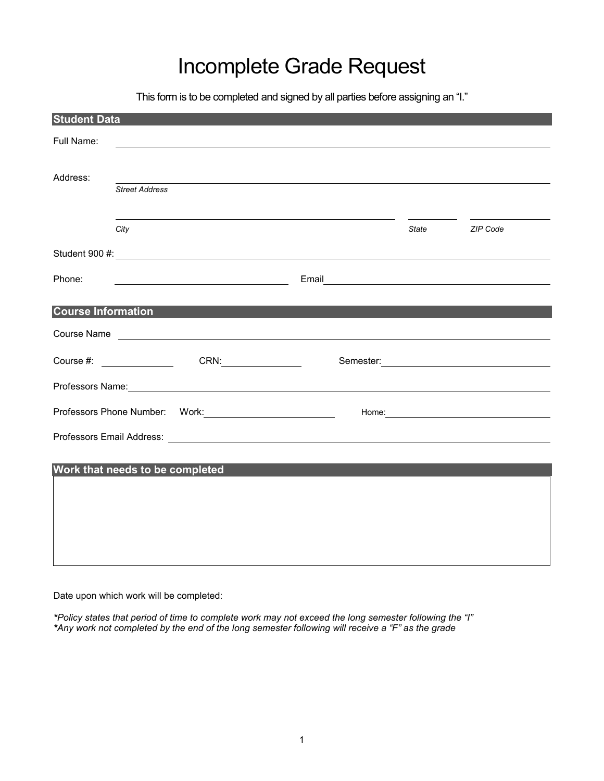## Incomplete Grade Request

This form is to be completed and signed by all parties before assigning an "I."

| <b>Student Data</b>             |                       |                              |  |                                                   |                    |                                                                                                                                                                                                                                |
|---------------------------------|-----------------------|------------------------------|--|---------------------------------------------------|--------------------|--------------------------------------------------------------------------------------------------------------------------------------------------------------------------------------------------------------------------------|
| Full Name:                      |                       |                              |  |                                                   |                    | <u> 1989 - Johann Stoff, amerikansk politiker (d. 1989)</u>                                                                                                                                                                    |
|                                 |                       |                              |  |                                                   |                    |                                                                                                                                                                                                                                |
| Address:                        | <b>Street Address</b> |                              |  |                                                   |                    | ,我们也不会有什么。""我们的人,我们也不会有什么?""我们的人,我们也不会有什么?""我们的人,我们也不会有什么?""我们的人,我们也不会有什么?""我们的人                                                                                                                                               |
|                                 |                       |                              |  |                                                   |                    |                                                                                                                                                                                                                                |
|                                 | City                  |                              |  | <u> 1989 - Johann Barn, mars et al. (b. 1989)</u> | <b>State State</b> | ZIP Code                                                                                                                                                                                                                       |
|                                 |                       |                              |  |                                                   |                    |                                                                                                                                                                                                                                |
| Phone:                          |                       | <u> Alexandria (m. 1888)</u> |  |                                                   |                    |                                                                                                                                                                                                                                |
|                                 |                       |                              |  |                                                   |                    |                                                                                                                                                                                                                                |
| <b>Course Information</b>       |                       |                              |  |                                                   |                    |                                                                                                                                                                                                                                |
|                                 |                       |                              |  |                                                   |                    | Course Name <b>course State of the Course of the Course of the Course Name and Course Name</b>                                                                                                                                 |
|                                 |                       |                              |  |                                                   |                    | Semester: 2000 and 2000 and 2000 and 2000 and 2000 and 2000 and 2000 and 2000 and 2000 and 2000 and 2000 and 20                                                                                                                |
|                                 |                       |                              |  |                                                   |                    | Professors Name: 2008 Contract to the Contract of the Contract of the Contract of the Contract of the Contract of the Contract of the Contract of the Contract of the Contract of the Contract of the Contract of the Contract |
|                                 |                       |                              |  |                                                   |                    |                                                                                                                                                                                                                                |
|                                 |                       |                              |  |                                                   |                    |                                                                                                                                                                                                                                |
| Work that needs to be completed |                       |                              |  |                                                   |                    |                                                                                                                                                                                                                                |
|                                 |                       |                              |  |                                                   |                    |                                                                                                                                                                                                                                |
|                                 |                       |                              |  |                                                   |                    |                                                                                                                                                                                                                                |
|                                 |                       |                              |  |                                                   |                    |                                                                                                                                                                                                                                |
|                                 |                       |                              |  |                                                   |                    |                                                                                                                                                                                                                                |
|                                 |                       |                              |  |                                                   |                    |                                                                                                                                                                                                                                |

Date upon which work will be completed:

*\*Policy states that period of time to complete work may not exceed the long semester following the "I" \*Any work not completed by the end of the long semester following will receive a "F" as the grade*